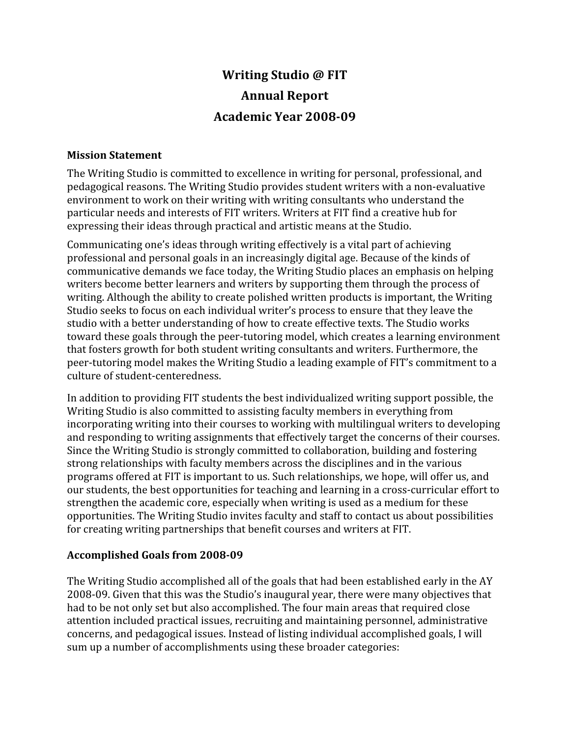# **Writing
Studio
@
FIT Annual
Report** Academic Year 2008-09

#### **Mission
Statement**

The
Writing
Studio
is
committed
to
excellence
in
writing
for
personal,
professional,
and pedagogical reasons. The Writing Studio provides student writers with a non-evaluative environment to work on their writing with writing consultants who understand the particular
needs
and
interests
of
FIT
writers.
Writers
at
FIT
find
a
creative
hub
for expressing
their
ideas
through
practical
and
artistic
means
at
the
Studio.

Communicating
one's
ideas
through
writing
effectively
is
a
vital
part
of
achieving professional
and
personal
goals
in
an
increasingly
digital
age.
Because
of
the
kinds
of communicative
demands
we
face
today,
the
Writing
Studio
places
an
emphasis
on
helping writers become better learners and writers by supporting them through the process of writing. Although the ability to create polished written products is important, the Writing Studio seeks to focus on each individual writer's process to ensure that they leave the studio with a better understanding of how to create effective texts. The Studio works toward
these
goals
through
the
peer‐tutoring
model,
which
creates
a
learning
environment that
fosters
growth
for
both
student
writing
consultants
and
writers.
Furthermore,
the peer-tutoring model makes the Writing Studio a leading example of FIT's commitment to a culture
of
student‐centeredness.

In
addition
to
providing
FIT
students
the
best
individualized
writing
support
possible,
the Writing Studio is also committed to assisting faculty members in everything from incorporating writing into their courses to working with multilingual writers to developing and
responding
to
writing
assignments
that
effectively
target
the
concerns
of
their
courses. Since
the
Writing
Studio
is
strongly
committed
to
collaboration,
building
and
fostering strong
relationships
with
faculty
members
across
the
disciplines
and
in
the
various programs
offered
at
FIT
is
important
to
us.
Such
relationships,
we
hope,
will
offer
us,
and our
students,
the
best
opportunities
for
teaching
and
learning
in
a
cross‐curricular
effort
to strengthen
the
academic
core,
especially
when
writing
is
used
as
a
medium
for
these opportunities.
The
Writing
Studio
invites
faculty
and
staff
to
contact
us
about
possibilities for
creating
writing
partnerships
that
benefit
courses
and
writers
at
FIT.

## Accomplished Goals from 2008-09

The Writing Studio accomplished all of the goals that had been established early in the AY 2008‐09.
Given
that
this
was
the
Studio's
inaugural
year,
there
were
many
objectives
that had to be not only set but also accomplished. The four main areas that required close attention
included
practical
issues,
recruiting
and
maintaining
personnel,
administrative concerns,
and
pedagogical
issues.
Instead
of
listing
individual
accomplished
goals,
I
will sum
up
a
number
of
accomplishments
using
these
broader
categories: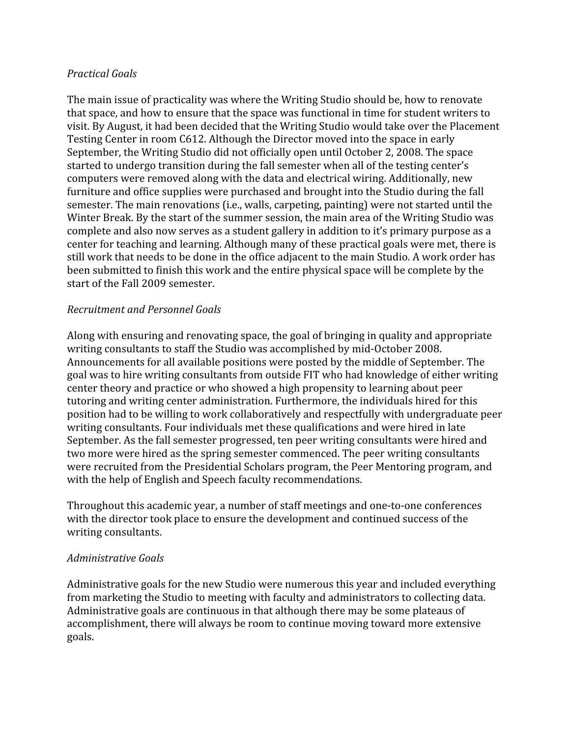#### *Practical
Goals*

The
main
issue
of
practicality
was
where
the
Writing
Studio
should
be,
how
to
renovate that space, and how to ensure that the space was functional in time for student writers to visit.
By
August,
it
had
been
decided
that
the
Writing
Studio
would
take
over
the
Placement Testing Center in room C612. Although the Director moved into the space in early September, the Writing Studio did not officially open until October 2, 2008. The space started to undergo transition during the fall semester when all of the testing center's computers
were
removed
along
with
the
data
and
electrical
wiring.
Additionally,
new furniture and office supplies were purchased and brought into the Studio during the fall semester. The main renovations (i.e., walls, carpeting, painting) were not started until the Winter Break. By the start of the summer session, the main area of the Writing Studio was complete
and
also
now
serves
as
a
student
gallery
in
addition
to
it's
primary
purpose
as
a center
for
teaching
and
learning.
Although
many
of
these
practical
goals
were
met,
there
is still work that needs to be done in the office adjacent to the main Studio. A work order has been
submitted
to
finish
this
work
and
the
entire
physical
space
will
be
complete
by
the start
of
the
Fall
2009
semester.

#### *Recruitment
and
Personnel
Goals*

Along
with
ensuring
and
renovating
space,
the
goal
of
bringing
in
quality
and
appropriate writing consultants to staff the Studio was accomplished by mid-October 2008. Announcements
for
all
available
positions
were
posted
by
the
middle
of
September.
The goal
was
to
hire
writing
consultants
from
outside
FIT
who
had
knowledge
of
either
writing center
theory
and
practice
or
who
showed
a
high
propensity
to
learning
about
peer tutoring
and
writing
center
administration.
Furthermore,
the
individuals
hired
for
this position
had
to
be
willing
to
work
collaboratively
and
respectfully
with
undergraduate
peer writing consultants. Four individuals met these qualifications and were hired in late September. As the fall semester progressed, ten peer writing consultants were hired and two
more
were
hired
as
the
spring
semester
commenced.
The
peer
writing
consultants were
recruited
from
the
Presidential
Scholars
program,
the
Peer
Mentoring
program,
and with the help of English and Speech faculty recommendations.

Throughout
this
academic
year,
a
number
of
staff
meetings
and
one‐to‐one
conferences with the director took place to ensure the development and continued success of the writing
consultants.

## *Administrative
Goals*

Administrative
goals
for
the
new
Studio
were
numerous
this
year
and
included
everything from marketing the Studio to meeting with faculty and administrators to collecting data. Administrative goals are continuous in that although there may be some plateaus of accomplishment,
there
will
always
be
room
to
continue
moving
toward
more
extensive goals.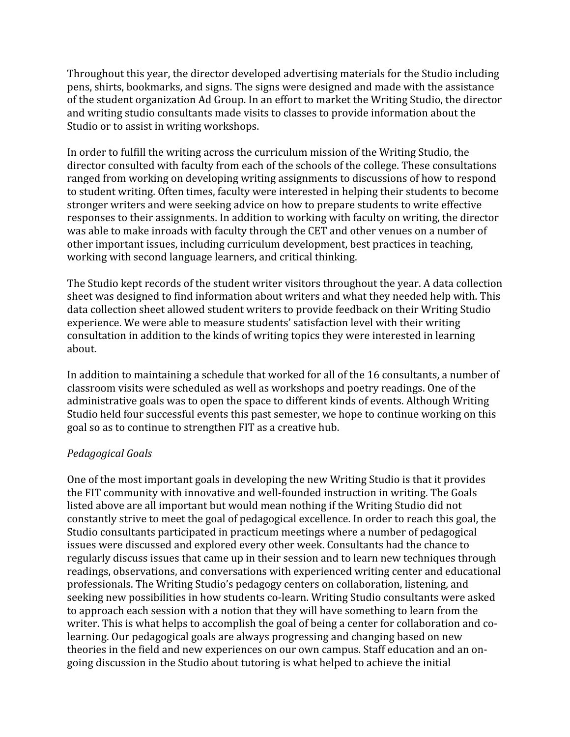Throughout
this
year,
the
director
developed
advertising
materials
for
the
Studio
including pens,
shirts,
bookmarks,
and
signs.
The
signs
were
designed
and
made
with
the
assistance of
the
student
organization
Ad
Group.
In
an
effort
to
market
the
Writing
Studio,
the
director and writing studio consultants made visits to classes to provide information about the Studio
or
to
assist
in
writing
workshops.

In order to fulfill the writing across the curriculum mission of the Writing Studio, the director
consulted
with
faculty
from
each
of
the
schools
of
the
college.
These
consultations ranged
from
working
on
developing
writing
assignments
to
discussions
of
how
to
respond to student writing. Often times, faculty were interested in helping their students to become stronger
writers
and
were
seeking
advice
on
how
to
prepare
students
to
write
effective responses
to
their
assignments.
In
addition
to
working
with
faculty
on
writing,
the
director was able to make inroads with faculty through the CET and other venues on a number of other
important
issues,
including
curriculum
development,
best
practices
in
teaching, working
with
second
language
learners,
and
critical
thinking.

The Studio kept records of the student writer visitors throughout the year. A data collection sheet
was
designed
to
find
information
about
writers
and
what
they
needed
help
with.
This data collection sheet allowed student writers to provide feedback on their Writing Studio experience.
We
were
able
to
measure
students'
satisfaction
level with
their
writing consultation
in
addition
to
the
kinds
of
writing
topics
they
were
interested
in
learning about.

In addition to maintaining a schedule that worked for all of the 16 consultants, a number of classroom
visits
were
scheduled
as
well
as
workshops
and
poetry
readings.
One
of
the administrative
goals
was
to
open
the
space
to
different
kinds
of
events.
Although
Writing Studio held four successful events this past semester, we hope to continue working on this goal
so
as
to
continue
to
strengthen
FIT
as
a
creative
hub.

## *Pedagogical
Goals*

One of the most important goals in developing the new Writing Studio is that it provides the FIT community with innovative and well-founded instruction in writing. The Goals listed
above
are
all
important
but
would
mean
nothing
if
the
Writing
Studio
did
not constantly
strive
to
meet
the
goal
of
pedagogical
excellence.
In
order
to
reach
this
goal,
the Studio
consultants
participated
in
practicum
meetings
where
a
number
of
pedagogical issues
were
discussed
and
explored
every
other
week.
Consultants
had
the
chance
to regularly discuss issues that came up in their session and to learn new techniques through readings,
observations,
and
conversations
with
experienced
writing
center
and
educational professionals.
The
Writing
Studio's
pedagogy
centers
on
collaboration,
listening,
and seeking new possibilities in how students co-learn. Writing Studio consultants were asked to approach each session with a notion that they will have something to learn from the writer. This is what helps to accomplish the goal of being a center for collaboration and colearning. Our pedagogical goals are always progressing and changing based on new theories in the field and new experiences on our own campus. Staff education and an ongoing
discussion
in
the
Studio
about
tutoring
is
what
helped
to
achieve
the
initial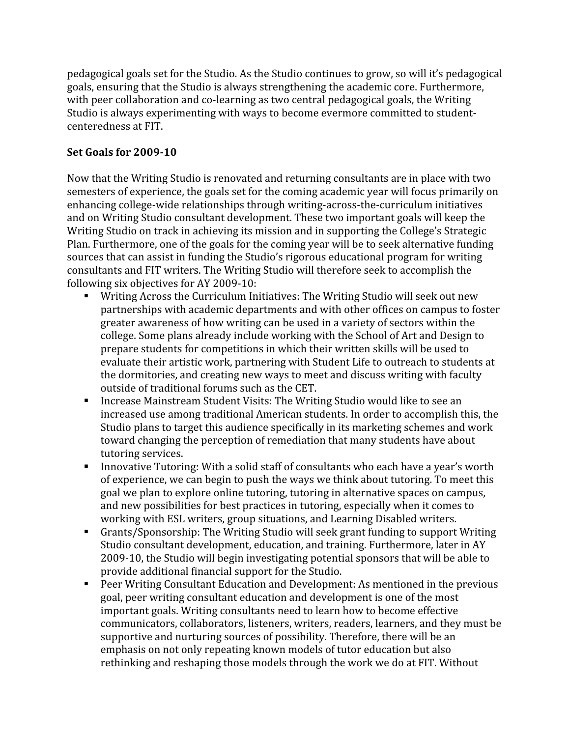pedagogical
goals
set
for
the
Studio.
As
the
Studio
continues
to
grow,
so
will
it's
pedagogical goals,
ensuring
that
the
Studio
is
always
strengthening
the
academic
core.
Furthermore, with peer collaboration and co-learning as two central pedagogical goals, the Writing Studio is always experimenting with ways to become evermore committed to studentcenteredness
at
FIT.

## **Set
Goals
for
200910**

Now
that
the
Writing
Studio
is
renovated
and
returning
consultants
are
in
place
with
two semesters of experience, the goals set for the coming academic year will focus primarily on enhancing
college‐wide
relationships
through
writing‐across‐the‐curriculum
initiatives and
on
Writing
Studio
consultant
development.
These
two
important
goals
will
keep
the Writing Studio on track in achieving its mission and in supporting the College's Strategic Plan. Furthermore, one of the goals for the coming year will be to seek alternative funding sources that can assist in funding the Studio's rigorous educational program for writing consultants
and
FIT
writers.
The
Writing
Studio
will
therefore
seek
to
accomplish
the following
six
objectives
for
AY
2009‐10:

- Writing Across the Curriculum Initiatives: The Writing Studio will seek out new partnerships
with
academic
departments
and
with
other
offices
on
campus
to
foster greater
awareness
of
how
writing
can
be
used
in
a
variety
of
sectors
within
the college.
Some
plans
already
include
working
with
the
School
of
Art
and
Design
to prepare
students
for
competitions
in
which
their
written
skills
will
be
used
to evaluate their artistic work, partnering with Student Life to outreach to students at the dormitories, and creating new ways to meet and discuss writing with faculty outside
of
traditional
forums
such
as
the
CET.
- Increase Mainstream Student Visits: The Writing Studio would like to see an increased
use
among
traditional
American
students.
In
order
to
accomplish
this,
the Studio plans to target this audience specifically in its marketing schemes and work toward changing the perception of remediation that many students have about tutoring
services.
- Innovative Tutoring: With a solid staff of consultants who each have a year's worth of
experience,
we
can
begin
to
push
the
ways
we
think
about
tutoring.
To
meet
this goal
we
plan
to
explore
online
tutoring,
tutoring
in
alternative
spaces
on
campus, and
new
possibilities
for
best
practices
in
tutoring,
especially
when
it
comes
to working with ESL writers, group situations, and Learning Disabled writers.
- Grants/Sponsorship:
The
Writing
Studio
will
seek
grant
funding
to
support
Writing Studio
consultant
development,
education,
and
training.
Furthermore,
later
in
AY 2009‐10,
the
Studio
will
begin
investigating
potential
sponsors
that
will
be
able
to provide
additional
financial
support
for
the
Studio.
- Peer Writing Consultant Education and Development: As mentioned in the previous goal,
peer
writing
consultant
education
and
development
is
one
of
the
most important
goals.
Writing
consultants
need
to
learn
how
to
become
effective communicators,
collaborators,
listeners,
writers,
readers,
learners,
and
they
must
be supportive and nurturing sources of possibility. Therefore, there will be an emphasis on not only repeating known models of tutor education but also rethinking and reshaping those models through the work we do at FIT. Without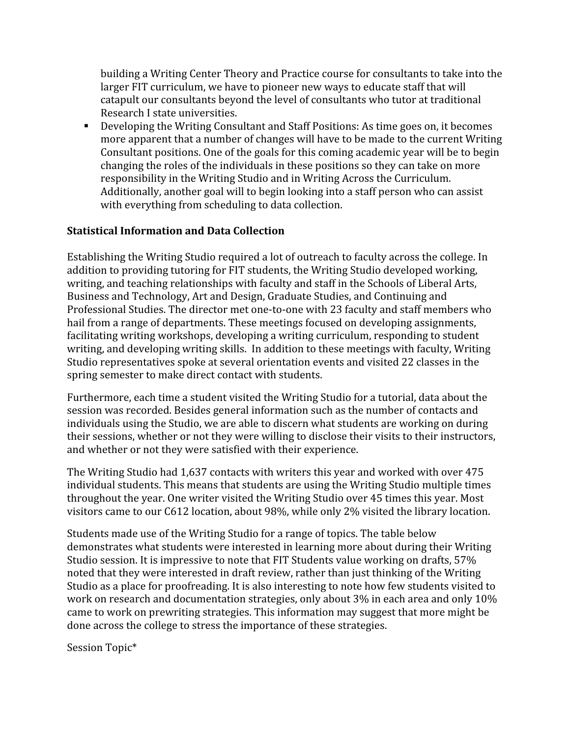building a
Writing
Center
Theory
and
Practice
course
for
consultants
to
take
into
the larger FIT curriculum, we have to pioneer new ways to educate staff that will catapult
our
consultants
beyond
the
level
of
consultants
who
tutor
at
traditional Research
I
state
universities.

 Developing
the
Writing
Consultant
and
Staff
Positions:
As
time
goes
on,
it
becomes more apparent that a number of changes will have to be made to the current Writing Consultant positions. One of the goals for this coming academic year will be to begin changing
the
roles
of
the
individuals
in
these
positions
so
they
can
take
on
more responsibility in the Writing Studio and in Writing Across the Curriculum. Additionally, another goal will to begin looking into a staff person who can assist with everything from scheduling to data collection.

## **Statistical
Information
and
Data
Collection**

Establishing the Writing Studio required a lot of outreach to faculty across the college. In addition to providing tutoring for FIT students, the Writing Studio developed working, writing, and teaching relationships with faculty and staff in the Schools of Liberal Arts, Business
and
Technology,
Art
and
Design,
Graduate
Studies,
and
Continuing
and Professional Studies. The director met one-to-one with 23 faculty and staff members who hail from a range of departments. These meetings focused on developing assignments, facilitating writing workshops, developing a writing curriculum, responding to student writing, and developing writing skills. In addition to these meetings with faculty, Writing Studio representatives spoke at several orientation events and visited 22 classes in the spring
semester
to
make
direct
contact
with
students.

Furthermore, each time a student visited the Writing Studio for a tutorial, data about the session
was
recorded.
Besides
general
information
such
as
the
number
of
contacts
and individuals
using
the
Studio,
we
are
able
to
discern
what
students
are
working
on
during their sessions, whether or not they were willing to disclose their visits to their instructors, and
whether
or
not
they
were
satisfied
with
their
experience.

The
Writing
Studio
had
1,637
contacts
with
writers
this
year
and
worked
with
over
475 individual
students.
This
means
that
students
are
using
the
Writing
Studio
multiple
times throughout the year. One writer visited the Writing Studio over 45 times this year. Most visitors came to our C612 location, about 98%, while only 2% visited the library location.

Students made use of the Writing Studio for a range of topics. The table below demonstrates
what
students
were
interested
in
learning
more
about
during
their
Writing Studio session. It is impressive to note that FIT Students value working on drafts, 57% noted
that
they
were
interested
in
draft
review,
rather
than
just
thinking
of
the
Writing Studio as a place for proofreading. It is also interesting to note how few students visited to work on research and documentation strategies, only about 3% in each area and only 10% came
to
work
on
prewriting
strategies.
This
information
may
suggest
that
more
might
be done
across
the
college
to
stress
the
importance
of
these
strategies.

Session
Topic\*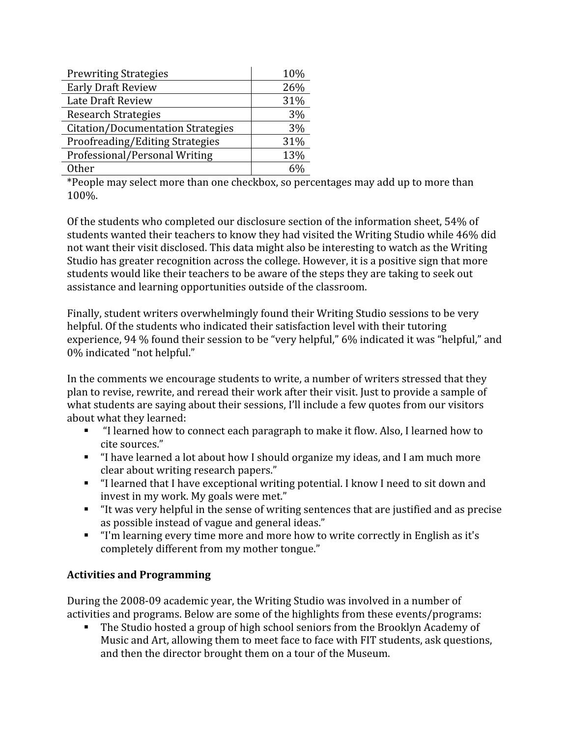| <b>Prewriting Strategies</b>             | 10% |
|------------------------------------------|-----|
| <b>Early Draft Review</b>                | 26% |
| Late Draft Review                        | 31% |
| <b>Research Strategies</b>               | 3%  |
| <b>Citation/Documentation Strategies</b> | 3%  |
| Proofreading/Editing Strategies          | 31% |
| Professional/Personal Writing            | 13% |
| Other                                    | 60/ |

\*People
may
select
more
than
one
checkbox,
so
percentages
may
add
up
to
more
than 100%.

Of
the
students
who
completed
our
disclosure
section
of
the
information
sheet,
54%
of students wanted their teachers to know they had visited the Writing Studio while 46% did not
want
their
visit
disclosed.
This
data
might
also
be
interesting
to
watch
as
the
Writing Studio has greater recognition across the college. However, it is a positive sign that more students would like their teachers to be aware of the steps they are taking to seek out assistance
and
learning
opportunities
outside
of
the
classroom.

Finally,
student
writers
overwhelmingly
found
their
Writing
Studio
sessions
to
be
very helpful. Of the students who indicated their satisfaction level with their tutoring experience, 94 % found their session to be "very helpful," 6% indicated it was "helpful," and 0%
indicated
"not
helpful."

In the comments we encourage students to write, a number of writers stressed that they plan
to
revise,
rewrite,
and
reread
their
work
after
their
visit.
Just
to
provide
a
sample
of what students are saying about their sessions, I'll include a few quotes from our visitors about
what
they
learned:

- "I learned how to connect each paragraph to make it flow. Also, I learned how to cite
sources."
- "I have learned a lot about how I should organize my ideas, and I am much more clear
about
writing
research
papers."
- "I learned that I have exceptional writing potential. I know I need to sit down and invest
in
my
work.
My
goals
were
met."
- "It was very helpful in the sense of writing sentences that are justified and as precise as
possible
instead
of
vague
and
general
ideas."
- "I'm learning every time more and more how to write correctly in English as it's completely
different
from
my
mother
tongue."

## **Activities
and
Programming**

During
the
2008‐09
academic
year,
the
Writing
Studio
was
involved
in
a
number
of activities
and
programs.
Below
are
some
of
the
highlights
from
these
events/programs:

 The
Studio
hosted
a
group
of
high
school
seniors
from
the
Brooklyn
Academy
of Music and Art, allowing them to meet face to face with FIT students, ask questions, and
then
the
director
brought
them
on
a
tour
of
the
Museum.